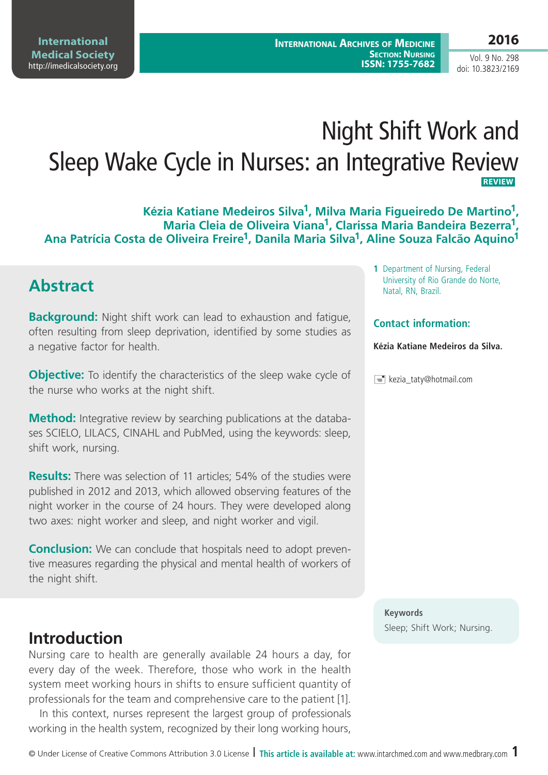Vol. 9 No. 298 doi: 10.3823/2169

# Night Shift Work and Sleep Wake Cycle in Nurses: an Integrative Review  **REVIEW**

**Kézia Katiane Medeiros Silva1, Milva Maria Figueiredo De Martino1, Maria Cleia de Oliveira Viana1, Clarissa Maria Bandeira Bezerra1, Ana Patrícia Costa de Oliveira Freire1, Danila Maria Silva1, Aline Souza Falcão Aquino1**

### **Abstract**

**Background:** Night shift work can lead to exhaustion and fatigue, often resulting from sleep deprivation, identified by some studies as a negative factor for health.

**Objective:** To identify the characteristics of the sleep wake cycle of the nurse who works at the night shift.

**Method:** Integrative review by searching publications at the databases SCIELO, LILACS, CINAHL and PubMed, using the keywords: sleep, shift work, nursing.

**Results:** There was selection of 11 articles; 54% of the studies were published in 2012 and 2013, which allowed observing features of the night worker in the course of 24 hours. They were developed along two axes: night worker and sleep, and night worker and vigil.

**Conclusion:** We can conclude that hospitals need to adopt preventive measures regarding the physical and mental health of workers of the night shift.

### **Introduction**

Nursing care to health are generally available 24 hours a day, for every day of the week. Therefore, those who work in the health system meet working hours in shifts to ensure sufficient quantity of professionals for the team and comprehensive care to the patient [1].

In this context, nurses represent the largest group of professionals working in the health system, recognized by their long working hours,

**1** Department of Nursing, Federal University of Rio Grande do Norte, Natal, RN, Brazil.

#### **Contact information:**

**Kézia Katiane Medeiros da Silva.**

 $\equiv$  kezia taty@hotmail.com

**Keywords** Sleep; Shift Work; Nursing.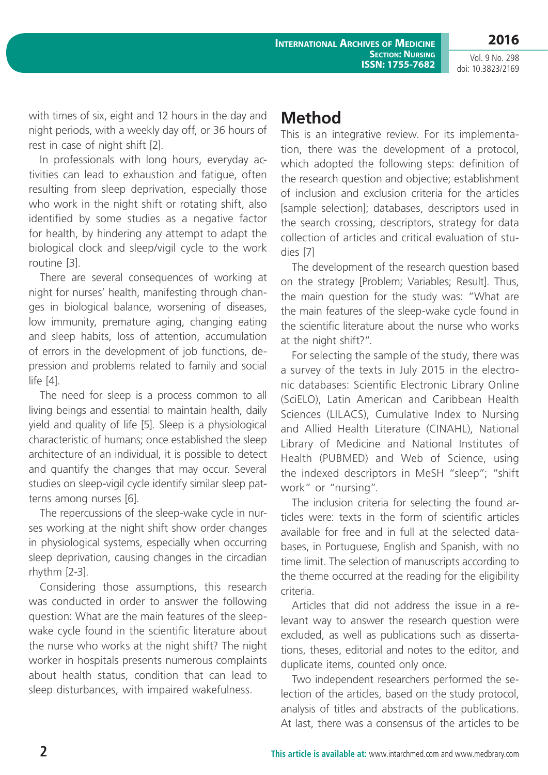**2016** Vol. 9 No. 298

doi: 10.3823/2169

with times of six, eight and 12 hours in the day and night periods, with a weekly day off, or 36 hours of rest in case of night shift [2].

In professionals with long hours, everyday activities can lead to exhaustion and fatigue, often resulting from sleep deprivation, especially those who work in the night shift or rotating shift, also identified by some studies as a negative factor for health, by hindering any attempt to adapt the biological clock and sleep/vigil cycle to the work routine [3].

There are several consequences of working at night for nurses' health, manifesting through changes in biological balance, worsening of diseases, low immunity, premature aging, changing eating and sleep habits, loss of attention, accumulation of errors in the development of job functions, depression and problems related to family and social life [4].

The need for sleep is a process common to all living beings and essential to maintain health, daily yield and quality of life [5]. Sleep is a physiological characteristic of humans; once established the sleep architecture of an individual, it is possible to detect and quantify the changes that may occur. Several studies on sleep-vigil cycle identify similar sleep patterns among nurses [6].

The repercussions of the sleep-wake cycle in nurses working at the night shift show order changes in physiological systems, especially when occurring sleep deprivation, causing changes in the circadian rhythm [2-3].

Considering those assumptions, this research was conducted in order to answer the following question: What are the main features of the sleepwake cycle found in the scientific literature about the nurse who works at the night shift? The night worker in hospitals presents numerous complaints about health status, condition that can lead to sleep disturbances, with impaired wakefulness.

# **Method**

This is an integrative review. For its implementation, there was the development of a protocol, which adopted the following steps: definition of the research question and objective; establishment of inclusion and exclusion criteria for the articles [sample selection]; databases, descriptors used in the search crossing, descriptors, strategy for data collection of articles and critical evaluation of studies [7]

The development of the research question based on the strategy [Problem; Variables; Result]. Thus, the main question for the study was: "What are the main features of the sleep-wake cycle found in the scientific literature about the nurse who works at the night shift?".

For selecting the sample of the study, there was a survey of the texts in July 2015 in the electronic databases: Scientific Electronic Library Online (SciELO), Latin American and Caribbean Health Sciences (LILACS), Cumulative Index to Nursing and Allied Health Literature (CINAHL), National Library of Medicine and National Institutes of Health (PUBMED) and Web of Science, using the indexed descriptors in MeSH "sleep"; "shift work" or "nursing".

The inclusion criteria for selecting the found articles were: texts in the form of scientific articles available for free and in full at the selected databases, in Portuguese, English and Spanish, with no time limit. The selection of manuscripts according to the theme occurred at the reading for the eligibility criteria.

Articles that did not address the issue in a relevant way to answer the research question were excluded, as well as publications such as dissertations, theses, editorial and notes to the editor, and duplicate items, counted only once.

Two independent researchers performed the selection of the articles, based on the study protocol, analysis of titles and abstracts of the publications. At last, there was a consensus of the articles to be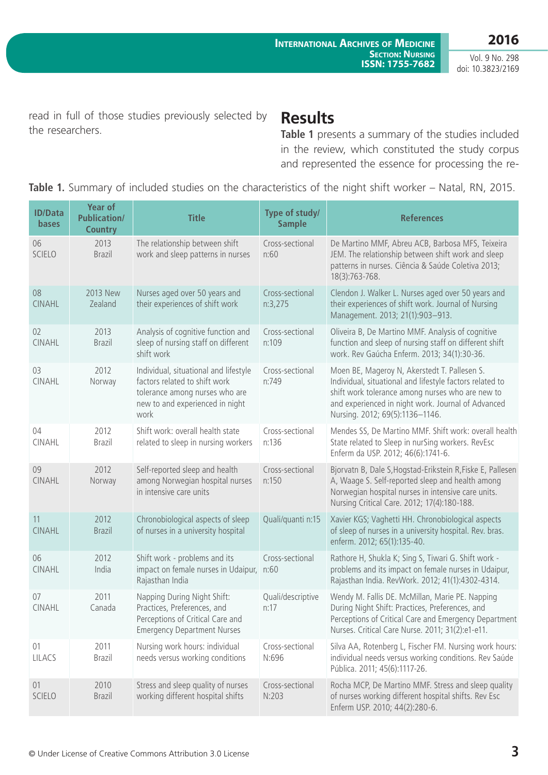**2016**

Vol. 9 No. 298 doi: 10.3823/2169

read in full of those studies previously selected by the researchers.

### **Results**

**Table 1** presents a summary of the studies included in the review, which constituted the study corpus and represented the essence for processing the re-

**Table 1.** Summary of included studies on the characteristics of the night shift worker – Natal, RN, 2015.

| <b>ID/Data</b><br><b>bases</b> | <b>Year of</b><br><b>Publication/</b><br><b>Country</b> | <b>Title</b>                                                                                                                                        | Type of study/<br><b>Sample</b> | <b>References</b>                                                                                                                                                                                                                                     |
|--------------------------------|---------------------------------------------------------|-----------------------------------------------------------------------------------------------------------------------------------------------------|---------------------------------|-------------------------------------------------------------------------------------------------------------------------------------------------------------------------------------------------------------------------------------------------------|
| 06<br><b>SCIELO</b>            | 2013<br><b>Brazil</b>                                   | The relationship between shift<br>work and sleep patterns in nurses                                                                                 | Cross-sectional<br>n:60         | De Martino MMF, Abreu ACB, Barbosa MFS, Teixeira<br>JEM. The relationship between shift work and sleep<br>patterns in nurses. Ciência & Saúde Coletiva 2013;<br>18(3):763-768.                                                                        |
| 08<br><b>CINAHL</b>            | 2013 New<br>Zealand                                     | Nurses aged over 50 years and<br>their experiences of shift work                                                                                    | Cross-sectional<br>n:3,275      | Clendon J. Walker L. Nurses aged over 50 years and<br>their experiences of shift work. Journal of Nursing<br>Management. 2013; 21(1):903-913.                                                                                                         |
| 02<br><b>CINAHL</b>            | 2013<br><b>Brazil</b>                                   | Analysis of cognitive function and<br>sleep of nursing staff on different<br>shift work                                                             | Cross-sectional<br>n:109        | Oliveira B, De Martino MMF. Analysis of cognitive<br>function and sleep of nursing staff on different shift<br>work. Rev Gaúcha Enferm. 2013; 34(1):30-36.                                                                                            |
| 03<br><b>CINAHL</b>            | 2012<br>Norway                                          | Individual, situational and lifestyle<br>factors related to shift work<br>tolerance among nurses who are<br>new to and experienced in night<br>work | Cross-sectional<br>n:749        | Moen BE, Mageroy N, Akerstedt T. Pallesen S.<br>Individual, situational and lifestyle factors related to<br>shift work tolerance among nurses who are new to<br>and experienced in night work. Journal of Advanced<br>Nursing. 2012; 69(5):1136-1146. |
| 04<br>CINAHL                   | 2012<br><b>Brazil</b>                                   | Shift work: overall health state<br>related to sleep in nursing workers                                                                             | Cross-sectional<br>n:136        | Mendes SS, De Martino MMF. Shift work: overall health<br>State related to Sleep in nurSing workers. RevEsc<br>Enferm da USP. 2012; 46(6):1741-6.                                                                                                      |
| 09<br>CINAHL                   | 2012<br>Norway                                          | Self-reported sleep and health<br>among Norwegian hospital nurses<br>in intensive care units                                                        | Cross-sectional<br>n:150        | Bjorvatn B, Dale S, Hogstad-Erikstein R, Fiske E, Pallesen<br>A, Waage S. Self-reported sleep and health among<br>Norwegian hospital nurses in intensive care units.<br>Nursing Critical Care. 2012; 17(4):180-188.                                   |
| 11<br><b>CINAHL</b>            | 2012<br><b>Brazil</b>                                   | Chronobiological aspects of sleep<br>of nurses in a university hospital                                                                             | Quali/quanti n:15               | Xavier KGS; Vaghetti HH. Chronobiological aspects<br>of sleep of nurses in a university hospital. Rev. bras.<br>enferm. 2012; 65(1):135-40.                                                                                                           |
| 06<br><b>CINAHL</b>            | 2012<br>India                                           | Shift work - problems and its<br>impact on female nurses in Udaipur,<br>Rajasthan India                                                             | Cross-sectional<br>n:60         | Rathore H, Shukla K; Sing S, Tiwari G. Shift work -<br>problems and its impact on female nurses in Udaipur,<br>Rajasthan India. RevWork. 2012; 41(1):4302-4314.                                                                                       |
| 07<br><b>CINAHL</b>            | 2011<br>Canada                                          | Napping During Night Shift:<br>Practices, Preferences, and<br>Perceptions of Critical Care and<br><b>Emergency Department Nurses</b>                | Quali/descriptive<br>n:17       | Wendy M. Fallis DE. McMillan, Marie PE. Napping<br>During Night Shift: Practices, Preferences, and<br>Perceptions of Critical Care and Emergency Department<br>Nurses. Critical Care Nurse. 2011; 31(2):e1-e11.                                       |
| 01<br>LILACS                   | 2011<br><b>Brazil</b>                                   | Nursing work hours: individual<br>needs versus working conditions                                                                                   | Cross-sectional<br>N:696        | Silva AA, Rotenberg L, Fischer FM. Nursing work hours:<br>individual needs versus working conditions. Rev Saúde<br>Pública. 2011; 45(6):1117-26.                                                                                                      |
| 01<br><b>SCIELO</b>            | 2010<br><b>Brazil</b>                                   | Stress and sleep quality of nurses<br>working different hospital shifts                                                                             | Cross-sectional<br>N:203        | Rocha MCP, De Martino MMF. Stress and sleep quality<br>of nurses working different hospital shifts. Rev Esc<br>Enferm USP. 2010; 44(2):280-6.                                                                                                         |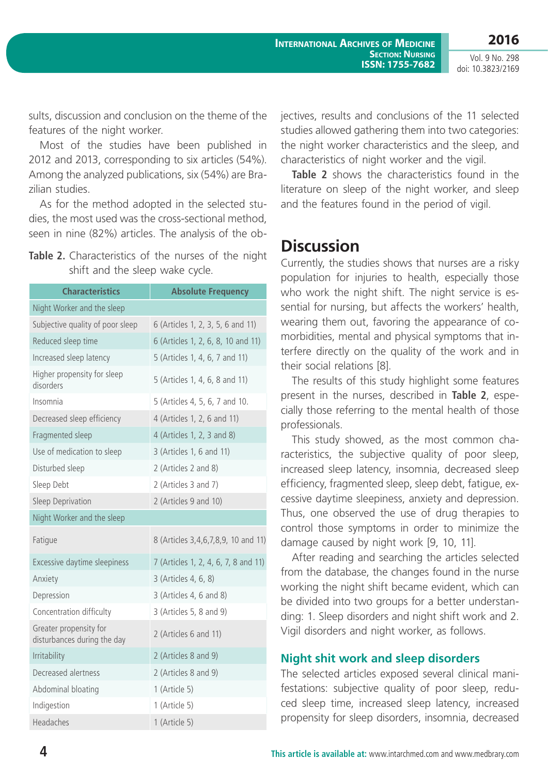Vol. 9 No. 298 doi: 10.3823/2169

sults, discussion and conclusion on the theme of the features of the night worker.

Most of the studies have been published in 2012 and 2013, corresponding to six articles (54%). Among the analyzed publications, six (54%) are Brazilian studies.

As for the method adopted in the selected studies, the most used was the cross-sectional method, seen in nine (82%) articles. The analysis of the ob-

|  | <b>Table 2.</b> Characteristics of the nurses of the night |  |  |  |  |
|--|------------------------------------------------------------|--|--|--|--|
|  | shift and the sleep wake cycle.                            |  |  |  |  |

| <b>Characteristics</b>                                | <b>Absolute Frequency</b>            |  |  |  |  |  |
|-------------------------------------------------------|--------------------------------------|--|--|--|--|--|
| Night Worker and the sleep                            |                                      |  |  |  |  |  |
| Subjective quality of poor sleep                      | 6 (Articles 1, 2, 3, 5, 6 and 11)    |  |  |  |  |  |
| Reduced sleep time                                    | 6 (Articles 1, 2, 6, 8, 10 and 11)   |  |  |  |  |  |
| Increased sleep latency                               | 5 (Articles 1, 4, 6, 7 and 11)       |  |  |  |  |  |
| Higher propensity for sleep<br>disorders              | 5 (Articles 1, 4, 6, 8 and 11)       |  |  |  |  |  |
| Insomnia                                              | 5 (Articles 4, 5, 6, 7 and 10.       |  |  |  |  |  |
| Decreased sleep efficiency                            | 4 (Articles 1, 2, 6 and 11)          |  |  |  |  |  |
| Fragmented sleep                                      | 4 (Articles 1, 2, 3 and 8)           |  |  |  |  |  |
| Use of medication to sleep                            | 3 (Articles 1, 6 and 11)             |  |  |  |  |  |
| Disturbed sleep                                       | 2 (Articles 2 and 8)                 |  |  |  |  |  |
| Sleep Debt                                            | 2 (Articles 3 and 7)                 |  |  |  |  |  |
| Sleep Deprivation                                     | 2 (Articles 9 and 10)                |  |  |  |  |  |
| Night Worker and the sleep                            |                                      |  |  |  |  |  |
| Fatigue                                               | 8 (Articles 3,4,6,7,8,9, 10 and 11)  |  |  |  |  |  |
| Excessive daytime sleepiness                          | 7 (Articles 1, 2, 4, 6, 7, 8 and 11) |  |  |  |  |  |
| Anxiety                                               | 3 (Articles 4, 6, 8)                 |  |  |  |  |  |
| Depression                                            | 3 (Articles 4, 6 and 8)              |  |  |  |  |  |
| Concentration difficulty                              | 3 (Articles 5, 8 and 9)              |  |  |  |  |  |
| Greater propensity for<br>disturbances during the day | 2 (Articles 6 and 11)                |  |  |  |  |  |
| Irritability                                          | 2 (Articles 8 and 9)                 |  |  |  |  |  |
| Decreased alertness                                   | 2 (Articles 8 and 9)                 |  |  |  |  |  |
| Abdominal bloating                                    | 1 (Article 5)                        |  |  |  |  |  |
| Indigestion                                           | 1 (Article 5)                        |  |  |  |  |  |
| Headaches                                             | 1 (Article 5)                        |  |  |  |  |  |

jectives, results and conclusions of the 11 selected studies allowed gathering them into two categories: the night worker characteristics and the sleep, and characteristics of night worker and the vigil.

**Table 2** shows the characteristics found in the literature on sleep of the night worker, and sleep and the features found in the period of vigil.

# **Discussion**

Currently, the studies shows that nurses are a risky population for injuries to health, especially those who work the night shift. The night service is essential for nursing, but affects the workers' health, wearing them out, favoring the appearance of comorbidities, mental and physical symptoms that interfere directly on the quality of the work and in their social relations [8].

The results of this study highlight some features present in the nurses, described in **Table 2**, especially those referring to the mental health of those professionals.

This study showed, as the most common characteristics, the subjective quality of poor sleep, increased sleep latency, insomnia, decreased sleep efficiency, fragmented sleep, sleep debt, fatigue, excessive daytime sleepiness, anxiety and depression. Thus, one observed the use of drug therapies to control those symptoms in order to minimize the damage caused by night work [9, 10, 11].

After reading and searching the articles selected from the database, the changes found in the nurse working the night shift became evident, which can be divided into two groups for a better understanding: 1. Sleep disorders and night shift work and 2. Vigil disorders and night worker, as follows.

#### **Night shit work and sleep disorders**

The selected articles exposed several clinical manifestations: subjective quality of poor sleep, reduced sleep time, increased sleep latency, increased propensity for sleep disorders, insomnia, decreased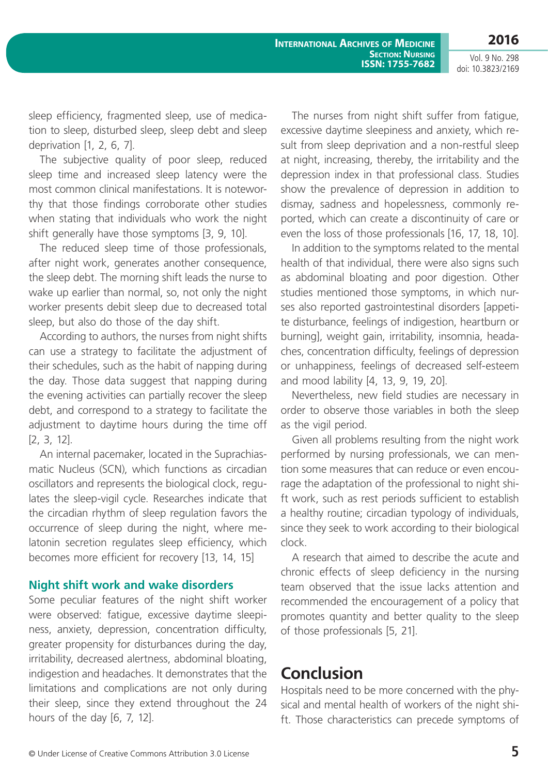**International Archives of Medicine SECTION: NURSING ISSN: 1755-7682**

**2016** Vol. 9 No. 298

doi: 10.3823/2169

sleep efficiency, fragmented sleep, use of medication to sleep, disturbed sleep, sleep debt and sleep deprivation [1, 2, 6, 7].

The subjective quality of poor sleep, reduced sleep time and increased sleep latency were the most common clinical manifestations. It is noteworthy that those findings corroborate other studies when stating that individuals who work the night shift generally have those symptoms [3, 9, 10].

The reduced sleep time of those professionals, after night work, generates another consequence, the sleep debt. The morning shift leads the nurse to wake up earlier than normal, so, not only the night worker presents debit sleep due to decreased total sleep, but also do those of the day shift.

According to authors, the nurses from night shifts can use a strategy to facilitate the adjustment of their schedules, such as the habit of napping during the day. Those data suggest that napping during the evening activities can partially recover the sleep debt, and correspond to a strategy to facilitate the adjustment to daytime hours during the time off [2, 3, 12].

An internal pacemaker, located in the Suprachiasmatic Nucleus (SCN), which functions as circadian oscillators and represents the biological clock, regulates the sleep-vigil cycle. Researches indicate that the circadian rhythm of sleep regulation favors the occurrence of sleep during the night, where melatonin secretion regulates sleep efficiency, which becomes more efficient for recovery [13, 14, 15]

#### **Night shift work and wake disorders**

Some peculiar features of the night shift worker were observed: fatigue, excessive daytime sleepiness, anxiety, depression, concentration difficulty, greater propensity for disturbances during the day, irritability, decreased alertness, abdominal bloating, indigestion and headaches. It demonstrates that the limitations and complications are not only during their sleep, since they extend throughout the 24 hours of the day [6, 7, 12].

The nurses from night shift suffer from fatigue, excessive daytime sleepiness and anxiety, which result from sleep deprivation and a non-restful sleep at night, increasing, thereby, the irritability and the depression index in that professional class. Studies show the prevalence of depression in addition to dismay, sadness and hopelessness, commonly reported, which can create a discontinuity of care or even the loss of those professionals [16, 17, 18, 10].

In addition to the symptoms related to the mental health of that individual, there were also signs such as abdominal bloating and poor digestion. Other studies mentioned those symptoms, in which nurses also reported gastrointestinal disorders [appetite disturbance, feelings of indigestion, heartburn or burning], weight gain, irritability, insomnia, headaches, concentration difficulty, feelings of depression or unhappiness, feelings of decreased self-esteem and mood lability [4, 13, 9, 19, 20].

Nevertheless, new field studies are necessary in order to observe those variables in both the sleep as the vigil period.

Given all problems resulting from the night work performed by nursing professionals, we can mention some measures that can reduce or even encourage the adaptation of the professional to night shift work, such as rest periods sufficient to establish a healthy routine; circadian typology of individuals, since they seek to work according to their biological clock.

A research that aimed to describe the acute and chronic effects of sleep deficiency in the nursing team observed that the issue lacks attention and recommended the encouragement of a policy that promotes quantity and better quality to the sleep of those professionals [5, 21].

# **Conclusion**

Hospitals need to be more concerned with the physical and mental health of workers of the night shift. Those characteristics can precede symptoms of